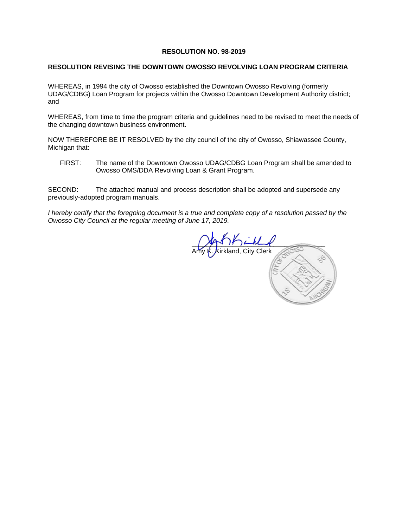#### **RESOLUTION NO. 98-2019**

#### **RESOLUTION REVISING THE DOWNTOWN OWOSSO REVOLVING LOAN PROGRAM CRITERIA**

WHEREAS, in 1994 the city of Owosso established the Downtown Owosso Revolving (formerly UDAG/CDBG) Loan Program for projects within the Owosso Downtown Development Authority district; and

WHEREAS, from time to time the program criteria and guidelines need to be revised to meet the needs of the changing downtown business environment.

NOW THEREFORE BE IT RESOLVED by the city council of the city of Owosso, Shiawassee County, Michigan that:

FIRST: The name of the Downtown Owosso UDAG/CDBG Loan Program shall be amended to Owosso OMS/DDA Revolving Loan & Grant Program.

SECOND: The attached manual and process description shall be adopted and supersede any previously-adopted program manuals.

*I* hereby certify that the foregoing document is a true and complete copy of a resolution passed by the *Owosso City Council at the regular meeting of June 17, 2019.* 

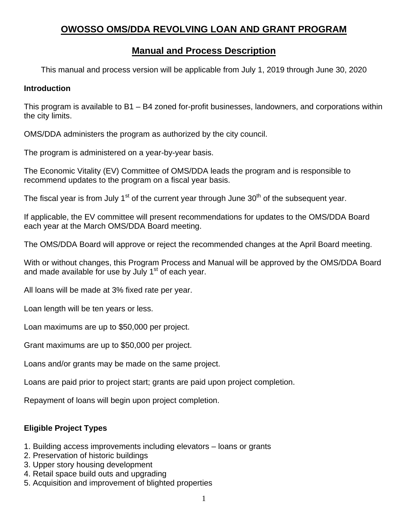# **OWOSSO OMS/DDA REVOLVING LOAN AND GRANT PROGRAM**

# **Manual and Process Description**

This manual and process version will be applicable from July 1, 2019 through June 30, 2020

#### **Introduction**

This program is available to B1 – B4 zoned for-profit businesses, landowners, and corporations within the city limits.

OMS/DDA administers the program as authorized by the city council.

The program is administered on a year-by-year basis.

The Economic Vitality (EV) Committee of OMS/DDA leads the program and is responsible to recommend updates to the program on a fiscal year basis.

The fiscal year is from July 1<sup>st</sup> of the current year through June  $30<sup>th</sup>$  of the subsequent year.

If applicable, the EV committee will present recommendations for updates to the OMS/DDA Board each year at the March OMS/DDA Board meeting.

The OMS/DDA Board will approve or reject the recommended changes at the April Board meeting.

With or without changes, this Program Process and Manual will be approved by the OMS/DDA Board and made available for use by July  $1<sup>st</sup>$  of each year.

All loans will be made at 3% fixed rate per year.

Loan length will be ten years or less.

Loan maximums are up to \$50,000 per project.

Grant maximums are up to \$50,000 per project.

Loans and/or grants may be made on the same project.

Loans are paid prior to project start; grants are paid upon project completion.

Repayment of loans will begin upon project completion.

### **Eligible Project Types**

- 1. Building access improvements including elevators loans or grants
- 2. Preservation of historic buildings
- 3. Upper story housing development
- 4. Retail space build outs and upgrading
- 5. Acquisition and improvement of blighted properties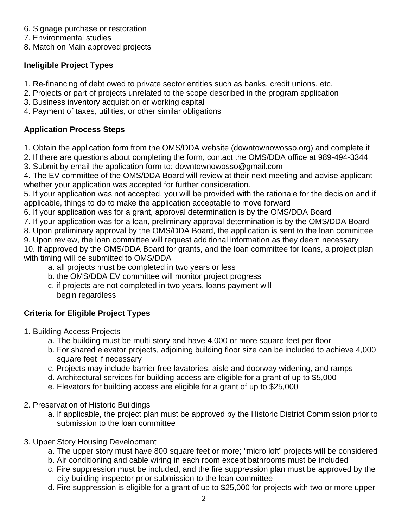- 6. Signage purchase or restoration
- 7. Environmental studies

8. Match on Main approved projects

## **Ineligible Project Types**

- 1. Re-financing of debt owed to private sector entities such as banks, credit unions, etc.
- 2. Projects or part of projects unrelated to the scope described in the program application
- 3. Business inventory acquisition or working capital
- 4. Payment of taxes, utilities, or other similar obligations

## **Application Process Steps**

- 1. Obtain the application form from the OMS/DDA website (downtownowosso.org) and complete it
- 2. If there are questions about completing the form, contact the OMS/DDA office at 989-494-3344
- 3. Submit by email the application form to: downtownowosso@gmail.com

4. The EV committee of the OMS/DDA Board will review at their next meeting and advise applicant whether your application was accepted for further consideration.

5. If your application was not accepted, you will be provided with the rationale for the decision and if applicable, things to do to make the application acceptable to move forward

- 6. If your application was for a grant, approval determination is by the OMS/DDA Board
- 7. If your application was for a loan, preliminary approval determination is by the OMS/DDA Board

8. Upon preliminary approval by the OMS/DDA Board, the application is sent to the loan committee

9. Upon review, the loan committee will request additional information as they deem necessary

10. If approved by the OMS/DDA Board for grants, and the loan committee for loans, a project plan with timing will be submitted to OMS/DDA

- a. all projects must be completed in two years or less
- b. the OMS/DDA EV committee will monitor project progress
- c. if projects are not completed in two years, loans payment will begin regardless

## **Criteria for Eligible Project Types**

- 1. Building Access Projects
	- a. The building must be multi-story and have 4,000 or more square feet per floor
	- b. For shared elevator projects, adjoining building floor size can be included to achieve 4,000 square feet if necessary
	- c. Projects may include barrier free lavatories, aisle and doorway widening, and ramps
	- d. Architectural services for building access are eligible for a grant of up to \$5,000
	- e. Elevators for building access are eligible for a grant of up to \$25,000
- 2. Preservation of Historic Buildings
	- a. If applicable, the project plan must be approved by the Historic District Commission prior to submission to the loan committee
- 3. Upper Story Housing Development
	- a. The upper story must have 800 square feet or more; "micro loft" projects will be considered
	- b. Air conditioning and cable wiring in each room except bathrooms must be included
	- c. Fire suppression must be included, and the fire suppression plan must be approved by the city building inspector prior submission to the loan committee
	- d. Fire suppression is eligible for a grant of up to \$25,000 for projects with two or more upper